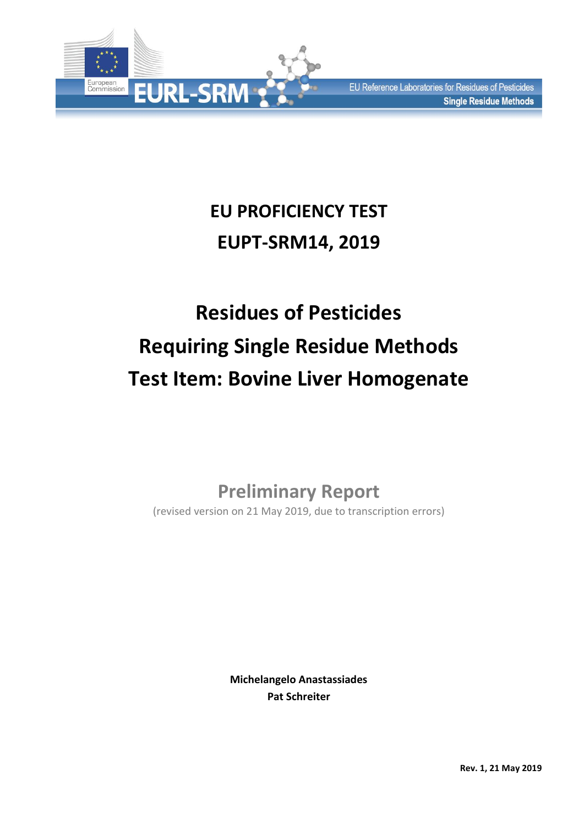

# **EU PROFICIENCY TEST EUPT-SRM14, 2019**

# **Residues of Pesticides Requiring Single Residue Methods Test Item: Bovine Liver Homogenate**

# **Preliminary Report**

(revised version on 21 May 2019, due to transcription errors)

**Michelangelo Anastassiades Pat Schreiter**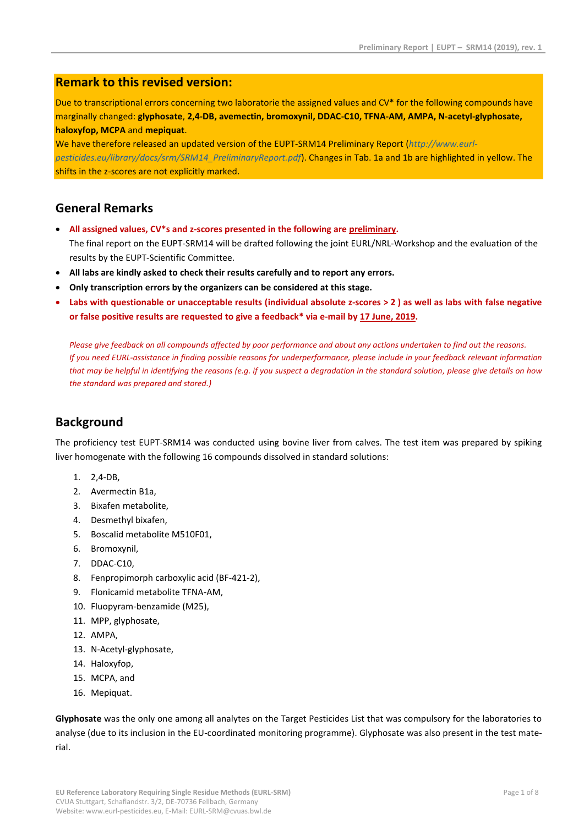### **Remark to this revised version:**

Due to transcriptional errors concerning two laboratorie the assigned values and CV\* for the following compounds have marginally changed: **glyphosate**, **2,4-DB, avemectin, bromoxynil, DDAC-C10, TFNA-AM, AMPA, N-acetyl-glyphosate, haloxyfop, MCPA** and **mepiquat**.

We have therefore released an updated version of the EUPT-SRM14 Preliminary Report (*[http://www.eurl](http://www.eurl-pesticides.eu/library/docs/srm/SRM14_PreliminaryReport.pdf)[pesticides.eu/library/docs/srm/SRM14\\_PreliminaryReport.pdf](http://www.eurl-pesticides.eu/library/docs/srm/SRM14_PreliminaryReport.pdf)*). Changes in Tab. 1a and 1b are highlighted in yellow. The shifts in the z-scores are not explicitly marked.

#### **General Remarks**

- **All assigned values, CV\*s and z-scores presented in the following are preliminary.** The final report on the EUPT-SRM14 will be drafted following the joint EURL/NRL-Workshop and the evaluation of the results by the EUPT-Scientific Committee.
- **All labs are kindly asked to check their results carefully and to report any errors.**
- **Only transcription errors by the organizers can be considered at this stage.**
- **Labs with questionable or unacceptable results (individual absolute z-scores > 2 ) as well as labs with false negative or false positive results are requested to give a feedback\* via e-mail by 17 June, 2019.**

*Please give feedback on all compounds affected by poor performance and about any actions undertaken to find out the reasons. If you need EURL-assistance in finding possible reasons for underperformance, please include in your feedback relevant information that may be helpful in identifying the reasons (e.g. if you suspect a degradation in the standard solution, please give details on how the standard was prepared and stored.)*

## **Background**

The proficiency test EUPT-SRM14 was conducted using bovine liver from calves. The test item was prepared by spiking liver homogenate with the following 16 compounds dissolved in standard solutions:

- 1. 2,4-DB,
- 2. Avermectin B1a,
- 3. Bixafen metabolite,
- 4. Desmethyl bixafen,
- 5. Boscalid metabolite M510F01,
- 6. Bromoxynil,
- 7. DDAC-C10,
- 8. Fenpropimorph carboxylic acid (BF-421-2),
- 9. Flonicamid metabolite TFNA-AM,
- 10. Fluopyram-benzamide (M25),
- 11. MPP, glyphosate,
- 12. AMPA,
- 13. N-Acetyl-glyphosate,
- 14. Haloxyfop,
- 15. MCPA, and
- 16. Mepiquat.

**Glyphosate** was the only one among all analytes on the Target Pesticides List that was compulsory for the laboratories to analyse (due to its inclusion in the EU-coordinated monitoring programme). Glyphosate was also present in the test material.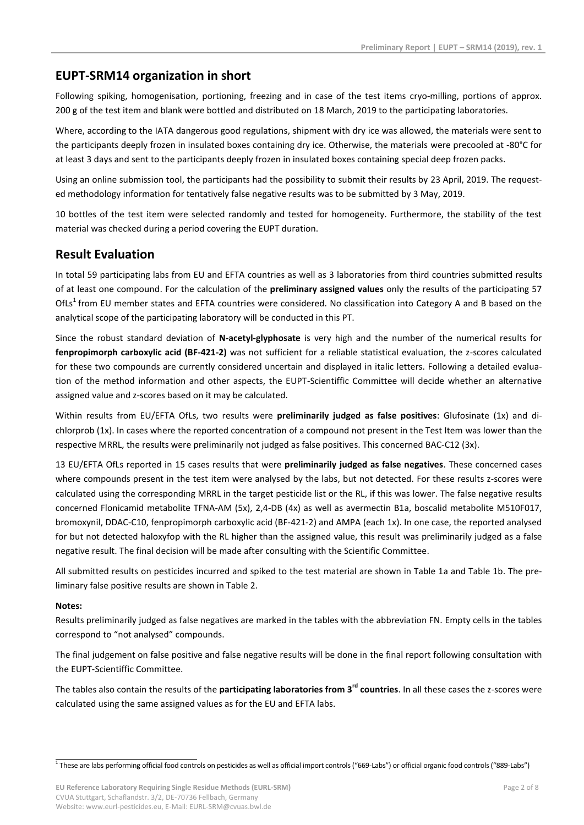# **EUPT-SRM14 organization in short**

Following spiking, homogenisation, portioning, freezing and in case of the test items cryo-milling, portions of approx. 200 g of the test item and blank were bottled and distributed on 18 March, 2019 to the participating laboratories.

Where, according to the IATA dangerous good regulations, shipment with dry ice was allowed, the materials were sent to the participants deeply frozen in insulated boxes containing dry ice. Otherwise, the materials were precooled at -80°C for at least 3 days and sent to the participants deeply frozen in insulated boxes containing special deep frozen packs.

Using an online submission tool, the participants had the possibility to submit their results by 23 April, 2019. The requested methodology information for tentatively false negative results was to be submitted by 3 May, 2019.

10 bottles of the test item were selected randomly and tested for homogeneity. Furthermore, the stability of the test material was checked during a period covering the EUPT duration.

## **Result Evaluation**

In total 59 participating labs from EU and EFTA countries as well as 3 laboratories from third countries submitted results of at least one compound. For the calculation of the **preliminary assigned values** only the results of the participating 57 OfLs<sup>1</sup> from EU member states and EFTA countries were considered. No classification into Category A and B based on the analytical scope of the participating laboratory will be conducted in this PT.

Since the robust standard deviation of **N-acetyl-glyphosate** is very high and the number of the numerical results for **fenpropimorph carboxylic acid (BF-421-2)** was not sufficient for a reliable statistical evaluation, the z-scores calculated for these two compounds are currently considered uncertain and displayed in italic letters. Following a detailed evaluation of the method information and other aspects, the EUPT-Scientiffic Committee will decide whether an alternative assigned value and z-scores based on it may be calculated.

Within results from EU/EFTA OfLs, two results were **preliminarily judged as false positives**: Glufosinate (1x) and dichlorprob (1x). In cases where the reported concentration of a compound not present in the Test Item was lower than the respective MRRL, the results were preliminarily not judged as false positives. This concerned BAC-C12 (3x).

13 EU/EFTA OfLs reported in 15 cases results that were **preliminarily judged as false negatives**. These concerned cases where compounds present in the test item were analysed by the labs, but not detected. For these results z-scores were calculated using the corresponding MRRL in the target pesticide list or the RL, if this was lower. The false negative results concerned Flonicamid metabolite TFNA-AM (5x), 2,4-DB (4x) as well as avermectin B1a, boscalid metabolite M510F017, bromoxynil, DDAC-C10, fenpropimorph carboxylic acid (BF-421-2) and AMPA (each 1x). In one case, the reported analysed for but not detected haloxyfop with the RL higher than the assigned value, this result was preliminarily judged as a false negative result. The final decision will be made after consulting with the Scientific Committee.

All submitted results on pesticides incurred and spiked to the test material are shown in Table 1a and Table 1b. The preliminary false positive results are shown in Table 2.

#### **Notes:**

Results preliminarily judged as false negatives are marked in the tables with the abbreviation FN. Empty cells in the tables correspond to "not analysed" compounds.

The final judgement on false positive and false negative results will be done in the final report following consultation with the EUPT-Scientiffic Committee.

The tables also contain the results of the **participating laboratories from 3rd countries**. In all these cases the z-scores were calculated using the same assigned values as for the EU and EFTA labs.

<sup>-&</sup>lt;br><sup>1</sup> These are labs performing official food controls on pesticides as well as official import controls ("669-Labs") or official organic food controls ("889-Labs")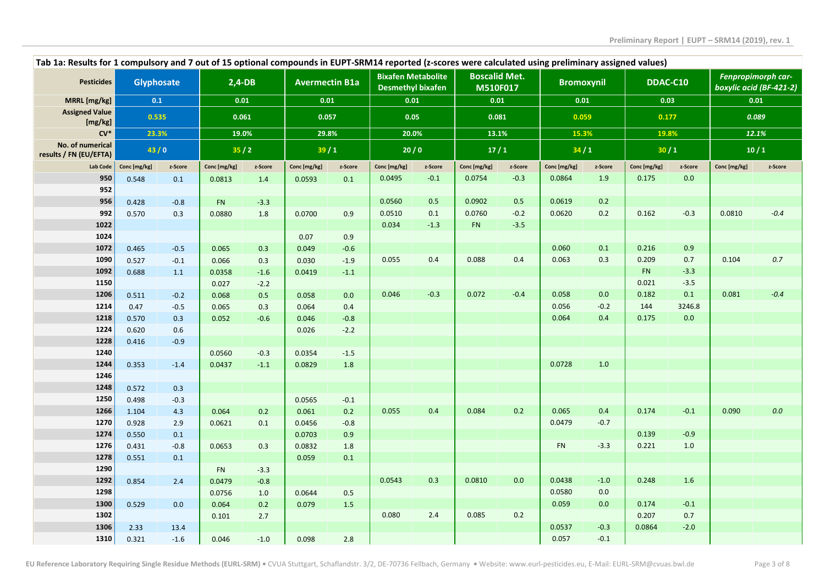|                                            | Tab 1a: Results for 1 compulsory and 7 out of 15 optional compounds in EUPT-SRM14 reported (z-scores were calculated using preliminary assigned values) |         |              |         |                       |         |                                                       |         |                                  |         |              |         |              |          |              |                                               |
|--------------------------------------------|---------------------------------------------------------------------------------------------------------------------------------------------------------|---------|--------------|---------|-----------------------|---------|-------------------------------------------------------|---------|----------------------------------|---------|--------------|---------|--------------|----------|--------------|-----------------------------------------------|
| <b>Pesticides</b>                          | <b>Glyphosate</b>                                                                                                                                       |         | $2,4-DB$     |         | <b>Avermectin B1a</b> |         | <b>Bixafen Metabolite</b><br><b>Desmethyl bixafen</b> |         | <b>Boscalid Met.</b><br>M510F017 |         | Bromoxynil   |         |              | DDAC-C10 |              | Fenpropimorph car-<br>boxylic acid (BF-421-2) |
| MRRL [mg/kg]                               | 0.1                                                                                                                                                     |         | 0.01         |         | 0.01                  |         | 0.01                                                  |         | 0.01                             |         | 0.01         |         | 0.03         |          | 0.01         |                                               |
| <b>Assigned Value</b>                      | 0.535                                                                                                                                                   |         | 0.061        |         | 0.057                 |         | 0.05                                                  |         | 0.081                            |         | 0.059        |         | 0.177        |          | 0.089        |                                               |
| [mg/kg]<br>$CV*$                           | 23.3%                                                                                                                                                   |         |              | 19.0%   | 29.8%                 |         | 20.0%                                                 |         | 13.1%                            |         | 15.3%        |         | 19.8%        |          | 12.1%        |                                               |
| No. of numerical<br>results / FN (EU/EFTA) | 43/0                                                                                                                                                    |         | 35/2         |         | 39/1                  |         |                                                       | 20/0    |                                  | 17/1    |              | 34/1    | 30/1         |          | 10/1         |                                               |
| Lab Code                                   | Conc [mg/kg]                                                                                                                                            | z-Score | Conc [mg/kg] | z-Score | Conc [mg/kg]          | z-Score | Conc [mg/kg]                                          | z-Score | Conc [mg/kg]                     | z-Score | Conc [mg/kg] | z-Score | Conc [mg/kg] | z-Score  | Conc [mg/kg] | z-Score                                       |
| 950                                        | 0.548                                                                                                                                                   | 0.1     | 0.0813       | 1.4     | 0.0593                | 0.1     | 0.0495                                                | $-0.1$  | 0.0754                           | $-0.3$  | 0.0864       | 1.9     | 0.175        | 0.0      |              |                                               |
| 952                                        |                                                                                                                                                         |         |              |         |                       |         |                                                       |         |                                  |         |              |         |              |          |              |                                               |
| 956                                        | 0.428                                                                                                                                                   | $-0.8$  | <b>FN</b>    | $-3.3$  |                       |         | 0.0560                                                | 0.5     | 0.0902                           | 0.5     | 0.0619       | 0.2     |              |          |              |                                               |
| 992                                        | 0.570                                                                                                                                                   | 0.3     | 0.0880       | 1.8     | 0.0700                | 0.9     | 0.0510                                                | 0.1     | 0.0760                           | $-0.2$  | 0.0620       | 0.2     | 0.162        | $-0.3$   | 0.0810       | $-0.4$                                        |
| 1022                                       |                                                                                                                                                         |         |              |         |                       |         | 0.034                                                 | $-1.3$  | <b>FN</b>                        | $-3.5$  |              |         |              |          |              |                                               |
| 1024                                       |                                                                                                                                                         |         |              |         | 0.07                  | 0.9     |                                                       |         |                                  |         |              |         |              |          |              |                                               |
| 1072                                       | 0.465                                                                                                                                                   | $-0.5$  | 0.065        | 0.3     | 0.049                 | $-0.6$  |                                                       |         |                                  |         | 0.060        | 0.1     | 0.216        | 0.9      |              |                                               |
| 1090                                       | 0.527                                                                                                                                                   | $-0.1$  | 0.066        | 0.3     | 0.030                 | $-1.9$  | 0.055                                                 | 0.4     | 0.088                            | 0.4     | 0.063        | 0.3     | 0.209        | 0.7      | 0.104        | 0.7                                           |
| 1092                                       | 0.688                                                                                                                                                   | 1.1     | 0.0358       | $-1.6$  | 0.0419                | $-1.1$  |                                                       |         |                                  |         |              |         | <b>FN</b>    | $-3.3$   |              |                                               |
| 1150                                       |                                                                                                                                                         |         | 0.027        | $-2.2$  |                       |         |                                                       |         |                                  |         |              |         | 0.021        | $-3.5$   |              |                                               |
| 1206                                       | 0.511                                                                                                                                                   | $-0.2$  | 0.068        | 0.5     | 0.058                 | 0.0     | 0.046                                                 | $-0.3$  | 0.072                            | $-0.4$  | 0.058        | 0.0     | 0.182        | 0.1      | 0.081        | $-0.4$                                        |
| 1214                                       | 0.47                                                                                                                                                    | $-0.5$  | 0.065        | 0.3     | 0.064                 | 0.4     |                                                       |         |                                  |         | 0.056        | $-0.2$  | 144          | 3246.8   |              |                                               |
| 1218                                       | 0.570                                                                                                                                                   | 0.3     | 0.052        | $-0.6$  | 0.046                 | $-0.8$  |                                                       |         |                                  |         | 0.064        | 0.4     | 0.175        | 0.0      |              |                                               |
| 1224                                       | 0.620                                                                                                                                                   | 0.6     |              |         | 0.026                 | $-2.2$  |                                                       |         |                                  |         |              |         |              |          |              |                                               |
| 1228                                       | 0.416                                                                                                                                                   | $-0.9$  |              |         |                       |         |                                                       |         |                                  |         |              |         |              |          |              |                                               |
| 1240                                       |                                                                                                                                                         |         | 0.0560       | $-0.3$  | 0.0354                | $-1.5$  |                                                       |         |                                  |         |              |         |              |          |              |                                               |
| 1244                                       | 0.353                                                                                                                                                   | $-1.4$  | 0.0437       | $-1.1$  | 0.0829                | 1.8     |                                                       |         |                                  |         | 0.0728       | 1.0     |              |          |              |                                               |
| 1246                                       |                                                                                                                                                         |         |              |         |                       |         |                                                       |         |                                  |         |              |         |              |          |              |                                               |
| 1248                                       | 0.572                                                                                                                                                   | 0.3     |              |         |                       |         |                                                       |         |                                  |         |              |         |              |          |              |                                               |
| 1250                                       | 0.498                                                                                                                                                   | $-0.3$  |              |         | 0.0565                | $-0.1$  |                                                       |         |                                  |         |              |         |              |          |              |                                               |
| 1266                                       | 1.104                                                                                                                                                   | 4.3     | 0.064        | 0.2     | 0.061                 | 0.2     | 0.055                                                 | 0.4     | 0.084                            | 0.2     | 0.065        | 0.4     | 0.174        | $-0.1$   | 0.090        | 0.0                                           |
| 1270                                       | 0.928                                                                                                                                                   | 2.9     | 0.0621       | 0.1     | 0.0456                | $-0.8$  |                                                       |         |                                  |         | 0.0479       | $-0.7$  |              |          |              |                                               |
| 1274                                       | 0.550                                                                                                                                                   | 0.1     |              |         | 0.0703                | 0.9     |                                                       |         |                                  |         |              |         | 0.139        | $-0.9$   |              |                                               |
| 1276                                       | 0.431                                                                                                                                                   | $-0.8$  | 0.0653       | 0.3     | 0.0832                | 1.8     |                                                       |         |                                  |         | <b>FN</b>    | $-3.3$  | 0.221        | 1.0      |              |                                               |
| 1278                                       | 0.551                                                                                                                                                   | 0.1     |              |         | 0.059                 | 0.1     |                                                       |         |                                  |         |              |         |              |          |              |                                               |
| 1290                                       |                                                                                                                                                         |         | FN           | $-3.3$  |                       |         |                                                       |         |                                  |         |              |         |              |          |              |                                               |
| 1292                                       | 0.854                                                                                                                                                   | 2.4     | 0.0479       | $-0.8$  |                       |         | 0.0543                                                | 0.3     | 0.0810                           | 0.0     | 0.0438       | $-1.0$  | 0.248        | 1.6      |              |                                               |
| 1298                                       |                                                                                                                                                         |         | 0.0756       | 1.0     | 0.0644                | 0.5     |                                                       |         |                                  |         | 0.0580       | 0.0     |              |          |              |                                               |
| 1300                                       | 0.529                                                                                                                                                   | 0.0     | 0.064        | 0.2     | 0.079                 | 1.5     |                                                       |         |                                  |         | 0.059        | 0.0     | 0.174        | $-0.1$   |              |                                               |
| 1302                                       |                                                                                                                                                         |         | 0.101        | 2.7     |                       |         | 0.080                                                 | 2.4     | 0.085                            | 0.2     |              |         | 0.207        | 0.7      |              |                                               |
| 1306                                       | 2.33                                                                                                                                                    | 13.4    |              |         |                       |         |                                                       |         |                                  |         | 0.0537       | $-0.3$  | 0.0864       | $-2.0$   |              |                                               |
| 1310                                       | 0.321                                                                                                                                                   | $-1.6$  | 0.046        | $-1.0$  | 0.098                 | 2.8     |                                                       |         |                                  |         | 0.057        | $-0.1$  |              |          |              |                                               |
|                                            |                                                                                                                                                         |         |              |         |                       |         |                                                       |         |                                  |         |              |         |              |          |              |                                               |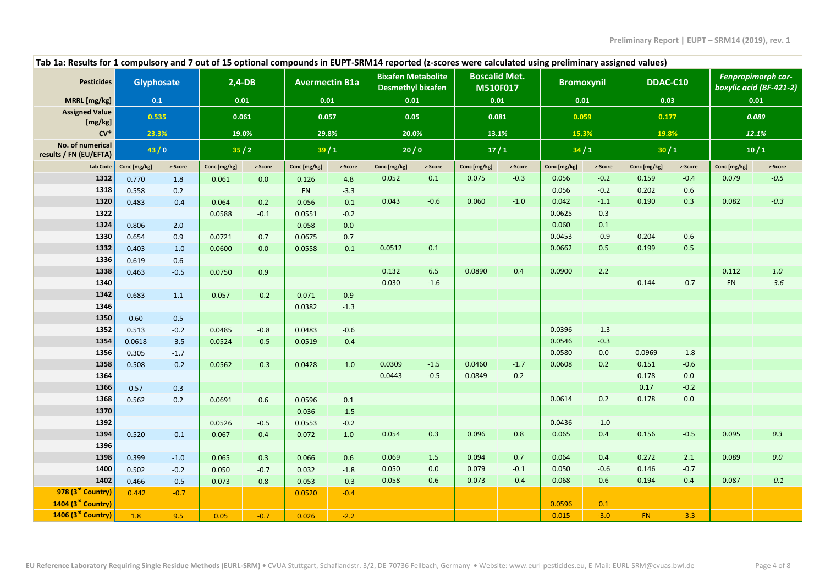| Tab 1a: Results for 1 compulsory and 7 out of 15 optional compounds in EUPT-SRM14 reported (z-scores were calculated using preliminary assigned values) |              |                  |              |         |                       |               |                                                       |         |                                  |         |                   |         |               |               |                                               |         |
|---------------------------------------------------------------------------------------------------------------------------------------------------------|--------------|------------------|--------------|---------|-----------------------|---------------|-------------------------------------------------------|---------|----------------------------------|---------|-------------------|---------|---------------|---------------|-----------------------------------------------|---------|
| <b>Pesticides</b>                                                                                                                                       | Glyphosate   |                  | $2,4-DB$     |         | <b>Avermectin B1a</b> |               | <b>Bixafen Metabolite</b><br><b>Desmethyl bixafen</b> |         | <b>Boscalid Met.</b><br>M510F017 |         | <b>Bromoxynil</b> |         | DDAC-C10      |               | Fenpropimorph car-<br>boxylic acid (BF-421-2) |         |
| MRRL [mg/kg]                                                                                                                                            | 0.1          |                  |              | 0.01    | 0.01                  |               | 0.01                                                  |         | 0.01                             |         | 0.01              |         |               | 0.03          |                                               | 0.01    |
| <b>Assigned Value</b><br>[mg/kg]                                                                                                                        |              | 0.535            |              | 0.061   | 0.057                 |               | 0.05                                                  |         | 0.081                            |         | 0.059             |         | 0.177         |               | 0.089                                         |         |
| $CV*$                                                                                                                                                   |              | 23.3%            |              | 19.0%   | 29.8%                 |               | 20.0%                                                 |         | 13.1%                            |         | 15.3%             |         | 19.8%         |               | 12.1%                                         |         |
| No. of numerical<br>results / FN (EU/EFTA)                                                                                                              |              | 43/0             |              | 35/2    | 39/1                  |               |                                                       | 20/0    |                                  | 17/1    |                   | 34/1    | 30/1          |               | 10/1                                          |         |
| Lab Code                                                                                                                                                | Conc [mg/kg] | z-Score          | Conc [mg/kg] | z-Score | Conc [mg/kg]          | z-Score       | Conc [mg/kg]                                          | z-Score | Conc [mg/kg]                     | z-Score | Conc [mg/kg]      | z-Score | Conc [mg/kg]  | z-Score       | Conc [mg/kg]                                  | z-Score |
| 1312                                                                                                                                                    | 0.770        | 1.8              | 0.061        | 0.0     | 0.126                 | 4.8           | 0.052                                                 | 0.1     | 0.075                            | $-0.3$  | 0.056             | $-0.2$  | 0.159         | $-0.4$        | 0.079                                         | $-0.5$  |
| 1318                                                                                                                                                    | 0.558        | 0.2              |              |         | <b>FN</b>             | $-3.3$        |                                                       |         |                                  |         | 0.056             | $-0.2$  | 0.202         | $0.6\,$       |                                               |         |
| 1320                                                                                                                                                    | 0.483        | $-0.4$           | 0.064        | 0.2     | 0.056                 | $-0.1$        | 0.043                                                 | $-0.6$  | 0.060                            | $-1.0$  | 0.042             | $-1.1$  | 0.190         | 0.3           | 0.082                                         | $-0.3$  |
| 1322                                                                                                                                                    |              |                  | 0.0588       | $-0.1$  | 0.0551                | $-0.2$        |                                                       |         |                                  |         | 0.0625            | 0.3     |               |               |                                               |         |
| 1324                                                                                                                                                    | 0.806        | 2.0              |              |         | 0.058                 | 0.0           |                                                       |         |                                  |         | 0.060             | 0.1     |               |               |                                               |         |
| 1330                                                                                                                                                    | 0.654        | 0.9              | 0.0721       | 0.7     | 0.0675                | 0.7           |                                                       |         |                                  |         | 0.0453            | $-0.9$  | 0.204         | 0.6           |                                               |         |
| 1332                                                                                                                                                    | 0.403        | $-1.0$           | 0.0600       | 0.0     | 0.0558                | $-0.1$        | 0.0512                                                | 0.1     |                                  |         | 0.0662            | 0.5     | 0.199         | 0.5           |                                               |         |
| 1336                                                                                                                                                    | 0.619        | 0.6              |              |         |                       |               |                                                       |         |                                  |         |                   |         |               |               |                                               |         |
| 1338                                                                                                                                                    | 0.463        | $-0.5$           | 0.0750       | 0.9     |                       |               | 0.132                                                 | 6.5     | 0.0890                           | 0.4     | 0.0900            | 2.2     |               |               | 0.112                                         | $1.0$   |
| 1340                                                                                                                                                    |              |                  |              |         |                       |               | 0.030                                                 | $-1.6$  |                                  |         |                   |         | 0.144         | $-0.7$        | <b>FN</b>                                     | $-3.6$  |
| 1342                                                                                                                                                    | 0.683        | 1.1              | 0.057        | $-0.2$  | 0.071                 | 0.9           |                                                       |         |                                  |         |                   |         |               |               |                                               |         |
| 1346                                                                                                                                                    |              |                  |              |         | 0.0382                | $-1.3$        |                                                       |         |                                  |         |                   |         |               |               |                                               |         |
| 1350                                                                                                                                                    | 0.60         | 0.5              |              |         |                       |               |                                                       |         |                                  |         |                   |         |               |               |                                               |         |
| 1352                                                                                                                                                    | 0.513        | $-0.2$           | 0.0485       | $-0.8$  | 0.0483                | $-0.6$        |                                                       |         |                                  |         | 0.0396            | $-1.3$  |               |               |                                               |         |
| 1354                                                                                                                                                    | 0.0618       | $-3.5$           | 0.0524       | $-0.5$  | 0.0519                | $-0.4$        |                                                       |         |                                  |         | 0.0546            | $-0.3$  |               |               |                                               |         |
| 1356                                                                                                                                                    | 0.305        | $-1.7$           |              |         |                       |               |                                                       |         |                                  |         | 0.0580            | 0.0     | 0.0969        | $-1.8$        |                                               |         |
| 1358                                                                                                                                                    | 0.508        | $-0.2$           | 0.0562       | $-0.3$  | 0.0428                | $-1.0$        | 0.0309                                                | $-1.5$  | 0.0460                           | $-1.7$  | 0.0608            | 0.2     | 0.151         | $-0.6$        |                                               |         |
| 1364<br>1366                                                                                                                                            |              |                  |              |         |                       |               | 0.0443                                                | $-0.5$  | 0.0849                           | 0.2     |                   |         | 0.178<br>0.17 | 0.0<br>$-0.2$ |                                               |         |
|                                                                                                                                                         | 0.57         | 0.3              |              |         |                       |               |                                                       |         |                                  |         | 0.0614            | 0.2     | 0.178         | 0.0           |                                               |         |
| 1368<br>1370                                                                                                                                            | 0.562        | 0.2              | 0.0691       | 0.6     | 0.0596                | 0.1           |                                                       |         |                                  |         |                   |         |               |               |                                               |         |
| 1392                                                                                                                                                    |              |                  |              | $-0.5$  | 0.036                 | $-1.5$        |                                                       |         |                                  |         | 0.0436            | $-1.0$  |               |               |                                               |         |
| 1394                                                                                                                                                    |              |                  | 0.0526       |         | 0.0553                | $-0.2$        | 0.054                                                 | 0.3     | 0.096                            | 0.8     | 0.065             | 0.4     | 0.156         | $-0.5$        | 0.095                                         | 0.3     |
| 1396                                                                                                                                                    | 0.520        | $-0.1$           | 0.067        | 0.4     | 0.072                 | 1.0           |                                                       |         |                                  |         |                   |         |               |               |                                               |         |
| 1398                                                                                                                                                    | 0.399        |                  | 0.065        | 0.3     | 0.066                 |               | 0.069                                                 | 1.5     | 0.094                            | 0.7     | 0.064             | 0.4     | 0.272         | 2.1           | 0.089                                         | $0.0\,$ |
| 1400                                                                                                                                                    | 0.502        | $-1.0$<br>$-0.2$ | 0.050        | $-0.7$  | 0.032                 | 0.6<br>$-1.8$ | 0.050                                                 | 0.0     | 0.079                            | $-0.1$  | 0.050             | $-0.6$  | 0.146         | $-0.7$        |                                               |         |
| 1402                                                                                                                                                    | 0.466        | $-0.5$           |              |         | 0.053                 | $-0.3$        | 0.058                                                 | 0.6     | 0.073                            | $-0.4$  | 0.068             | 0.6     | 0.194         | 0.4           | 0.087                                         | $-0.1$  |
| 978 (3rd Country)                                                                                                                                       | 0.442        | $-0.7$           | 0.073        | 0.8     | 0.0520                | $-0.4$        |                                                       |         |                                  |         |                   |         |               |               |                                               |         |
| 1404 (3 <sup>rd</sup> Country)                                                                                                                          |              |                  |              |         |                       |               |                                                       |         |                                  |         | 0.0596            | 0.1     |               |               |                                               |         |
| 1406 (3rd Country)                                                                                                                                      | 1.8          | 9.5              | 0.05         | $-0.7$  | 0.026                 |               |                                                       |         |                                  |         | 0.015             | $-3.0$  | FN.           | $-3.3$        |                                               |         |
|                                                                                                                                                         |              |                  |              |         |                       | $-2.2$        |                                                       |         |                                  |         |                   |         |               |               |                                               |         |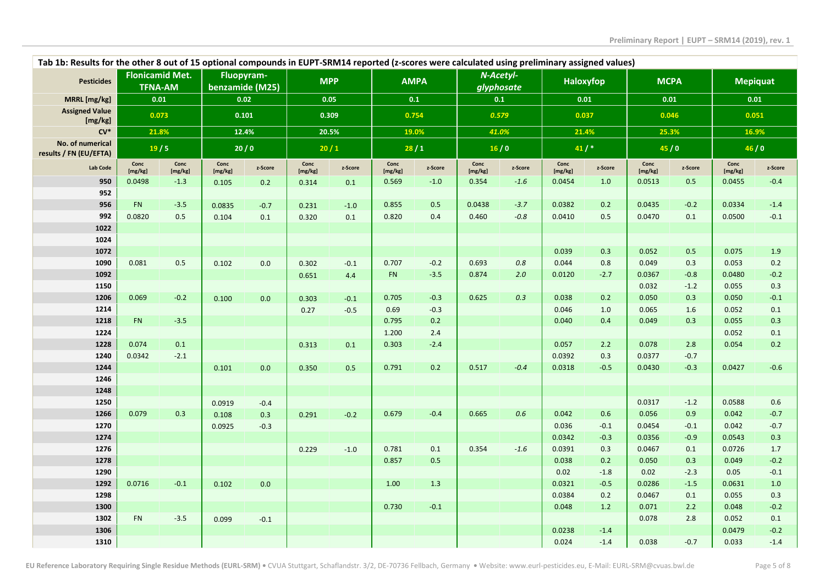| Tab 1b: Results for the other 8 out of 15 optional compounds in EUPT-SRM14 reported (z-scores were calculated using preliminary assigned values) |                 |                                          |                 |                               |                 |            |                 |             |                 |                         |                 |         |                 |         |                 |                 |
|--------------------------------------------------------------------------------------------------------------------------------------------------|-----------------|------------------------------------------|-----------------|-------------------------------|-----------------|------------|-----------------|-------------|-----------------|-------------------------|-----------------|---------|-----------------|---------|-----------------|-----------------|
| <b>Pesticides</b>                                                                                                                                |                 | <b>Flonicamid Met.</b><br><b>TFNA-AM</b> |                 | Fluopyram-<br>benzamide (M25) |                 | <b>MPP</b> |                 | <b>AMPA</b> |                 | N-Acetyl-<br>glyphosate | Haloxyfop       |         | <b>MCPA</b>     |         |                 | <b>Mepiquat</b> |
| MRRL [mg/kg]                                                                                                                                     |                 | 0.01                                     |                 | 0.02                          | 0.05            |            | 0.1             |             |                 | 0.1                     | 0.01            |         | 0.01            |         | 0.01            |                 |
| <b>Assigned Value</b><br>[mg/kg]                                                                                                                 |                 | 0.073                                    |                 | 0.101                         |                 | 0.309      |                 | 0.754       |                 | 0.579                   | 0.037           |         | 0.046           |         | 0.051           |                 |
| $CV*$                                                                                                                                            |                 | 21.8%                                    |                 | 12.4%                         |                 | 20.5%      | 19.0%           |             |                 | 41.0%                   | 21.4%           |         | 25.3%           |         | 16.9%           |                 |
| No. of numerical<br>results / FN (EU/EFTA)                                                                                                       |                 | 19/5                                     |                 | 20/0                          |                 | 20/1       | 28/1            |             | 16/0            |                         | $41/$ *         |         | 45/0            |         | 46/0            |                 |
| Lab Code                                                                                                                                         | Conc<br>[mg/kg] | Conc<br>[mg/kg]                          | Conc<br>[mg/kg] | z-Score                       | Conc<br>[mg/kg] | z-Score    | Conc<br>[mg/kg] | z-Score     | Conc<br>[mg/kg] | z-Score                 | Conc<br>[mg/kg] | z-Score | Conc<br>[mg/kg] | z-Score | Conc<br>[mg/kg] | z-Score         |
| 950                                                                                                                                              | 0.0498          | $-1.3$                                   | 0.105           | 0.2                           | 0.314           | 0.1        | 0.569           | $-1.0$      | 0.354           | $-1.6$                  | 0.0454          | 1.0     | 0.0513          | 0.5     | 0.0455          | $-0.4$          |
| 952                                                                                                                                              |                 |                                          |                 |                               |                 |            |                 |             |                 |                         |                 |         |                 |         |                 |                 |
| 956                                                                                                                                              | <b>FN</b>       | $-3.5$                                   | 0.0835          | $-0.7$                        | 0.231           | $-1.0$     | 0.855           | 0.5         | 0.0438          | $-3.7$                  | 0.0382          | 0.2     | 0.0435          | $-0.2$  | 0.0334          | $-1.4$          |
| 992                                                                                                                                              | 0.0820          | 0.5                                      | 0.104           | 0.1                           | 0.320           | 0.1        | 0.820           | 0.4         | 0.460           | $-0.8$                  | 0.0410          | $0.5\,$ | 0.0470          | 0.1     | 0.0500          | $-0.1$          |
| 1022                                                                                                                                             |                 |                                          |                 |                               |                 |            |                 |             |                 |                         |                 |         |                 |         |                 |                 |
| 1024                                                                                                                                             |                 |                                          |                 |                               |                 |            |                 |             |                 |                         |                 |         |                 |         |                 |                 |
| 1072                                                                                                                                             |                 |                                          |                 |                               |                 |            |                 |             |                 |                         | 0.039           | 0.3     | 0.052           | 0.5     | 0.075           | 1.9             |
| 1090                                                                                                                                             | 0.081           | 0.5                                      | 0.102           | 0.0                           | 0.302           | $-0.1$     | 0.707           | $-0.2$      | 0.693           | 0.8                     | 0.044           | 0.8     | 0.049           | 0.3     | 0.053           | 0.2             |
| 1092                                                                                                                                             |                 |                                          |                 |                               | 0.651           | 4.4        | FN              | $-3.5$      | 0.874           | 2.0                     | 0.0120          | $-2.7$  | 0.0367          | $-0.8$  | 0.0480          | $-0.2$          |
| 1150                                                                                                                                             |                 |                                          |                 |                               |                 |            |                 |             |                 |                         |                 |         | 0.032           | $-1.2$  | 0.055           | 0.3             |
| 1206                                                                                                                                             | 0.069           | $-0.2$                                   | 0.100           | 0.0                           | 0.303           | $-0.1$     | 0.705           | $-0.3$      | 0.625           | 0.3                     | 0.038           | 0.2     | 0.050           | 0.3     | 0.050           | $-0.1$          |
| 1214                                                                                                                                             |                 |                                          |                 |                               | 0.27            | $-0.5$     | 0.69            | $-0.3$      |                 |                         | 0.046           | 1.0     | 0.065           | 1.6     | 0.052           | 0.1             |
| 1218                                                                                                                                             | FN              | $-3.5$                                   |                 |                               |                 |            | 0.795           | 0.2         |                 |                         | 0.040           | 0.4     | 0.049           | 0.3     | 0.055           | 0.3             |
| 1224                                                                                                                                             |                 |                                          |                 |                               |                 |            | 1.200           | 2.4         |                 |                         |                 |         |                 |         | 0.052           | 0.1             |
| 1228                                                                                                                                             | 0.074           | 0.1                                      |                 |                               | 0.313           | 0.1        | 0.303           | $-2.4$      |                 |                         | 0.057           | 2.2     | 0.078           | 2.8     | 0.054           | 0.2             |
| 1240                                                                                                                                             | 0.0342          | $-2.1$                                   |                 |                               |                 |            |                 |             |                 |                         | 0.0392          | 0.3     | 0.0377          | $-0.7$  |                 |                 |
| 1244                                                                                                                                             |                 |                                          | 0.101           | 0.0                           | 0.350           | 0.5        | 0.791           | 0.2         | 0.517           | $-0.4$                  | 0.0318          | $-0.5$  | 0.0430          | $-0.3$  | 0.0427          | $-0.6$          |
| 1246                                                                                                                                             |                 |                                          |                 |                               |                 |            |                 |             |                 |                         |                 |         |                 |         |                 |                 |
| 1248                                                                                                                                             |                 |                                          |                 |                               |                 |            |                 |             |                 |                         |                 |         |                 |         |                 |                 |
| 1250                                                                                                                                             |                 |                                          | 0.0919          | $-0.4$                        |                 |            |                 |             |                 |                         |                 |         | 0.0317          | $-1.2$  | 0.0588          | 0.6             |
| 1266                                                                                                                                             | 0.079           | 0.3                                      | 0.108           | 0.3                           | 0.291           | $-0.2$     | 0.679           | $-0.4$      | 0.665           | 0.6                     | 0.042           | 0.6     | 0.056           | 0.9     | 0.042           | $-0.7$          |
| 1270                                                                                                                                             |                 |                                          | 0.0925          | $-0.3$                        |                 |            |                 |             |                 |                         | 0.036           | $-0.1$  | 0.0454          | $-0.1$  | 0.042           | $-0.7$          |
| 1274                                                                                                                                             |                 |                                          |                 |                               |                 |            |                 |             |                 |                         | 0.0342          | $-0.3$  | 0.0356          | $-0.9$  | 0.0543          | 0.3             |
| 1276                                                                                                                                             |                 |                                          |                 |                               | 0.229           | $-1.0$     | 0.781           | 0.1         | 0.354           | $-1.6$                  | 0.0391          | 0.3     | 0.0467          | 0.1     | 0.0726          | 1.7             |
| 1278                                                                                                                                             |                 |                                          |                 |                               |                 |            | 0.857           | 0.5         |                 |                         | 0.038           | 0.2     | 0.050           | 0.3     | 0.049           | $-0.2$          |
| 1290                                                                                                                                             |                 |                                          |                 |                               |                 |            |                 |             |                 |                         | 0.02            | $-1.8$  | 0.02            | $-2.3$  | 0.05            | $-0.1$          |
| 1292                                                                                                                                             | 0.0716          | $-0.1$                                   | 0.102           | 0.0                           |                 |            | 1.00            | 1.3         |                 |                         | 0.0321          | $-0.5$  | 0.0286          | $-1.5$  | 0.0631          | 1.0             |
| 1298                                                                                                                                             |                 |                                          |                 |                               |                 |            |                 |             |                 |                         | 0.0384          | 0.2     | 0.0467          | 0.1     | 0.055           | 0.3             |
| 1300                                                                                                                                             |                 |                                          |                 |                               |                 |            | 0.730           | $-0.1$      |                 |                         | 0.048           | 1.2     | 0.071           | 2.2     | 0.048           | $-0.2$          |
| 1302                                                                                                                                             | FN              | $-3.5$                                   | 0.099           | $-0.1$                        |                 |            |                 |             |                 |                         |                 |         | 0.078           | 2.8     | 0.052           | 0.1             |
| 1306                                                                                                                                             |                 |                                          |                 |                               |                 |            |                 |             |                 |                         | 0.0238          | $-1.4$  |                 |         | 0.0479          | $-0.2$          |
| 1310                                                                                                                                             |                 |                                          |                 |                               |                 |            |                 |             |                 |                         | 0.024           | $-1.4$  | 0.038           | $-0.7$  | 0.033           | $-1.4$          |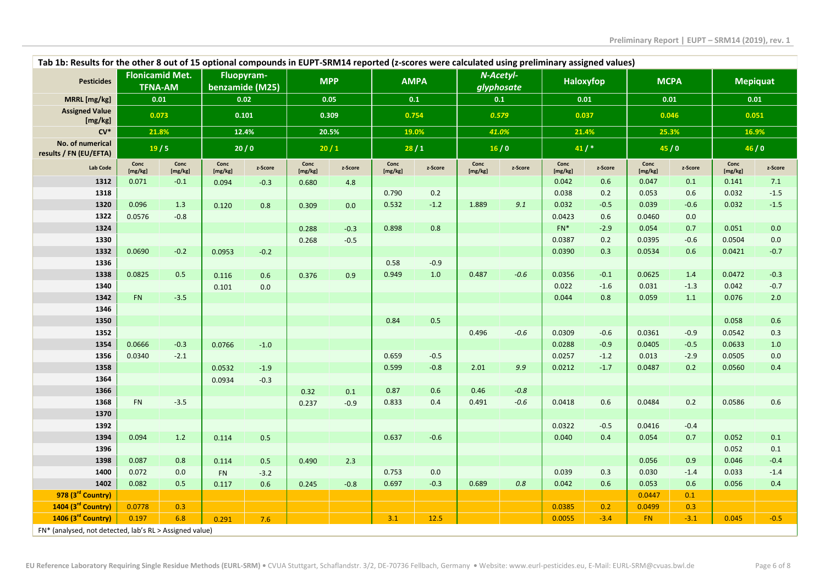| Tab 1b: Results for the other 8 out of 15 optional compounds in EUPT-SRM14 reported (z-scores were calculated using preliminary assigned values) |                 |                                          |                               |         |                 |         |                 |             |                 |                         |                 |           |                 |             |                 |         |
|--------------------------------------------------------------------------------------------------------------------------------------------------|-----------------|------------------------------------------|-------------------------------|---------|-----------------|---------|-----------------|-------------|-----------------|-------------------------|-----------------|-----------|-----------------|-------------|-----------------|---------|
| <b>Pesticides</b>                                                                                                                                |                 | <b>Flonicamid Met.</b><br><b>TFNA-AM</b> | Fluopyram-<br>benzamide (M25) |         | <b>MPP</b>      |         |                 | <b>AMPA</b> |                 | N-Acetyl-<br>glyphosate |                 | Haloxyfop |                 | <b>MCPA</b> | <b>Mepiquat</b> |         |
| MRRL [mg/kg]                                                                                                                                     |                 | 0.01                                     |                               | 0.02    |                 | 0.05    | $0.1\,$         |             | 0.1             |                         | 0.01            |           | 0.01            |             | 0.01            |         |
| <b>Assigned Value</b><br>[mg/kg]                                                                                                                 |                 | 0.073                                    |                               | 0.101   |                 | 0.309   |                 | 0.754       |                 | 0.579                   |                 | 0.037     | 0.046           |             | 0.051           |         |
| $CV^*$                                                                                                                                           |                 | 21.8%                                    |                               | 12.4%   |                 | 20.5%   |                 | 19.0%       |                 | 41.0%                   |                 | 21.4%     | 25.3%           |             | 16.9%           |         |
| No. of numerical<br>results / FN (EU/EFTA)                                                                                                       |                 | 19/5                                     |                               | 20/0    | 20/1            |         | 28/1            |             | 16/0            |                         | 41/             |           | 45/0            |             | 46/0            |         |
| Lab Code                                                                                                                                         | Conc<br>[mg/kg] | Conc<br>[mg/kg]                          | Conc<br>[mg/kg]               | z-Score | Conc<br>[mg/kg] | z-Score | Conc<br>[mg/kg] | z-Score     | Conc<br>[mg/kg] | z-Score                 | Conc<br>[mg/kg] | z-Score   | Conc<br>[mg/kg] | z-Score     | Conc<br>[mg/kg] | z-Score |
| 1312                                                                                                                                             | 0.071           | $-0.1$                                   | 0.094                         | $-0.3$  | 0.680           | 4.8     |                 |             |                 |                         | 0.042           | 0.6       | 0.047           | 0.1         | 0.141           | 7.1     |
| 1318                                                                                                                                             |                 |                                          |                               |         |                 |         | 0.790           | 0.2         |                 |                         | 0.038           | 0.2       | 0.053           | 0.6         | 0.032           | $-1.5$  |
| 1320                                                                                                                                             | 0.096           | 1.3                                      | 0.120                         | 0.8     | 0.309           | 0.0     | 0.532           | $-1.2$      | 1.889           | 9.1                     | 0.032           | $-0.5$    | 0.039           | $-0.6$      | 0.032           | $-1.5$  |
| 1322                                                                                                                                             | 0.0576          | $-0.8$                                   |                               |         |                 |         |                 |             |                 |                         | 0.0423          | 0.6       | 0.0460          | 0.0         |                 |         |
| 1324                                                                                                                                             |                 |                                          |                               |         | 0.288           | $-0.3$  | 0.898           | 0.8         |                 |                         | $FN*$           | $-2.9$    | 0.054           | 0.7         | 0.051           | 0.0     |
| 1330                                                                                                                                             |                 |                                          |                               |         | 0.268           | $-0.5$  |                 |             |                 |                         | 0.0387          | 0.2       | 0.0395          | $-0.6$      | 0.0504          | 0.0     |
| 1332                                                                                                                                             | 0.0690          | $-0.2$                                   | 0.0953                        | $-0.2$  |                 |         |                 |             |                 |                         | 0.0390          | 0.3       | 0.0534          | 0.6         | 0.0421          | $-0.7$  |
| 1336                                                                                                                                             |                 |                                          |                               |         |                 |         | 0.58            | $-0.9$      |                 |                         |                 |           |                 |             |                 |         |
| 1338                                                                                                                                             | 0.0825          | 0.5                                      | 0.116                         | 0.6     | 0.376           | 0.9     | 0.949           | 1.0         | 0.487           | $-0.6$                  | 0.0356          | $-0.1$    | 0.0625          | 1.4         | 0.0472          | $-0.3$  |
| 1340                                                                                                                                             |                 |                                          | 0.101                         | 0.0     |                 |         |                 |             |                 |                         | 0.022           | $-1.6$    | 0.031           | $-1.3$      | 0.042           | $-0.7$  |
| 1342                                                                                                                                             | FN              | $-3.5$                                   |                               |         |                 |         |                 |             |                 |                         | 0.044           | 0.8       | 0.059           | 1.1         | 0.076           | 2.0     |
| 1346                                                                                                                                             |                 |                                          |                               |         |                 |         |                 |             |                 |                         |                 |           |                 |             |                 |         |
| 1350                                                                                                                                             |                 |                                          |                               |         |                 |         | 0.84            | 0.5         |                 |                         |                 |           |                 |             | 0.058           | 0.6     |
| 1352                                                                                                                                             |                 |                                          |                               |         |                 |         |                 |             | 0.496           | $-0.6$                  | 0.0309          | $-0.6$    | 0.0361          | $-0.9$      | 0.0542          | 0.3     |
| 1354                                                                                                                                             | 0.0666          | $-0.3$                                   | 0.0766                        | $-1.0$  |                 |         |                 |             |                 |                         | 0.0288          | $-0.9$    | 0.0405          | $-0.5$      | 0.0633          | 1.0     |
| 1356                                                                                                                                             | 0.0340          | $-2.1$                                   |                               |         |                 |         | 0.659           | $-0.5$      |                 |                         | 0.0257          | $-1.2$    | 0.013           | $-2.9$      | 0.0505          | $0.0\,$ |
| 1358                                                                                                                                             |                 |                                          | 0.0532                        | $-1.9$  |                 |         | 0.599           | $-0.8$      | 2.01            | 9.9                     | 0.0212          | $-1.7$    | 0.0487          | 0.2         | 0.0560          | 0.4     |
| 1364                                                                                                                                             |                 |                                          | 0.0934                        | $-0.3$  |                 |         |                 |             |                 |                         |                 |           |                 |             |                 |         |
| 1366                                                                                                                                             |                 |                                          |                               |         | 0.32            | 0.1     | 0.87            | 0.6         | 0.46            | $-0.8$                  |                 |           |                 |             |                 |         |
| 1368                                                                                                                                             | FN              | $-3.5$                                   |                               |         | 0.237           | $-0.9$  | 0.833           | 0.4         | 0.491           | $-0.6$                  | 0.0418          | 0.6       | 0.0484          | 0.2         | 0.0586          | 0.6     |
| 1370                                                                                                                                             |                 |                                          |                               |         |                 |         |                 |             |                 |                         |                 |           |                 |             |                 |         |
| 1392                                                                                                                                             |                 |                                          |                               |         |                 |         |                 |             |                 |                         | 0.0322          | $-0.5$    | 0.0416          | $-0.4$      |                 |         |
| 1394                                                                                                                                             | 0.094           | 1.2                                      | 0.114                         | 0.5     |                 |         | 0.637           | $-0.6$      |                 |                         | 0.040           | 0.4       | 0.054           | 0.7         | 0.052           | 0.1     |
| 1396                                                                                                                                             |                 |                                          |                               |         |                 |         |                 |             |                 |                         |                 |           |                 |             | 0.052           | 0.1     |
| 1398                                                                                                                                             | 0.087           | 0.8                                      | 0.114                         | 0.5     | 0.490           | 2.3     |                 |             |                 |                         |                 |           | 0.056           | 0.9         | 0.046           | $-0.4$  |
| 1400                                                                                                                                             | 0.072           | 0.0                                      | <b>FN</b>                     | $-3.2$  |                 |         | 0.753           | 0.0         |                 |                         | 0.039           | 0.3       | 0.030           | $-1.4$      | 0.033           | $-1.4$  |
| 1402                                                                                                                                             | 0.082           | 0.5                                      | 0.117                         | 0.6     | 0.245           | $-0.8$  | 0.697           | $-0.3$      | 0.689           | 0.8                     | 0.042           | $0.6\,$   | 0.053           | 0.6         | 0.056           | 0.4     |
| 978 (3rd Country)                                                                                                                                |                 |                                          |                               |         |                 |         |                 |             |                 |                         |                 |           | 0.0447          | 0.1         |                 |         |
| 1404 (3rd Country)                                                                                                                               | 0.0778          | 0.3                                      |                               |         |                 |         |                 |             |                 |                         | 0.0385          | 0.2       | 0.0499          | 0.3         |                 |         |
| 1406 (3rd Country)                                                                                                                               | 0.197           | 6.8                                      | 0.291                         | 7.6     |                 |         | 3.1             | 12.5        |                 |                         | 0.0055          | $-3.4$    | <b>FN</b>       | $-3.1$      | 0.045           | $-0.5$  |
| FN* (analysed, not detected, lab's RL > Assigned value)                                                                                          |                 |                                          |                               |         |                 |         |                 |             |                 |                         |                 |           |                 |             |                 |         |